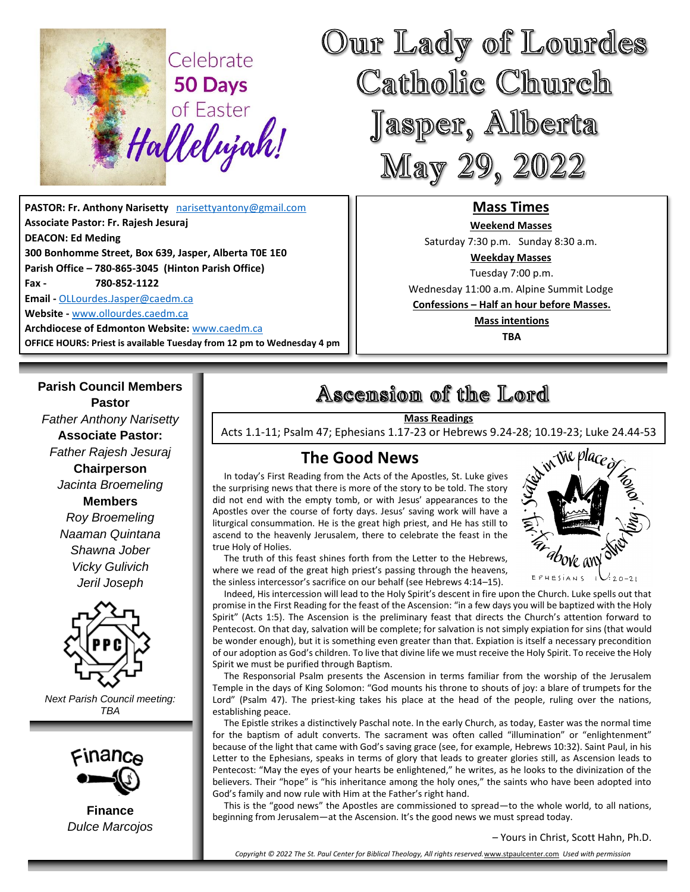

**PASTOR: Fr. Anthony Narisetty** [narisettyantony@gmail.com](mailto:narisettyantony@gmail.com) **Associate Pastor: Fr. Rajesh Jesuraj DEACON: Ed Meding 300 Bonhomme Street, Box 639, Jasper, Alberta T0E 1E0 Parish Office – 780-865-3045 (Hinton Parish Office) Fax - 780-852-1122 Email -** [OLLourdes.Jasper@caedm.ca](mailto:OLLourdes.Jasper@caedm.ca) **Website -** [www.ollourdes.caedm.ca](http://www.ollourdes.caedm.ca/) **Archdiocese of Edmonton Website:** [www.caedm.ca](http://www.caedm.ca/) 

**OFFICE HOURS: Priest is available Tuesday from 12 pm to Wednesday 4 pm**

**Parish Council Members Pastor** *Father Anthony Narisetty* **Associate Pastor:**  *Father Rajesh Jesuraj*  **Chairperson** *Jacinta Broemeling* **Members** *Roy Broemeling Naaman Quintana Shawna Jober Vicky Gulivich Jeril Joseph*



*Next Parish Council meeting: TBA*



**Finance** *Dulce Marcojos*

# Ascension of the Lord

#### **Mass Readings**

Acts 1.1-11; Psalm 47; Ephesians 1.17-23 or Hebrews 9.24-28; 10.19-23; Luke 24.44-53

# **The Good News**

 In today's First Reading from the Acts of the Apostles, St. Luke gives the surprising news that there is more of the story to be told. The story did not end with the empty tomb, or with Jesus' appearances to the Apostles over the course of forty days. Jesus' saving work will have a liturgical consummation. He is the great high priest, and He has still to ascend to the heavenly Jerusalem, there to celebrate the feast in the true Holy of Holies.



 The truth of this feast shines forth from the Letter to the Hebrews, where we read of the great high priest's passing through the heavens, the sinless intercessor's sacrifice on our behalf (see Hebrews 4:14–15).

 Indeed, His intercession will lead to the Holy Spirit's descent in fire upon the Church. Luke spells out that promise in the First Reading for the feast of the Ascension: "in a few days you will be baptized with the Holy Spirit" (Acts 1:5). The Ascension is the preliminary feast that directs the Church's attention forward to Pentecost. On that day, salvation will be complete; for salvation is not simply expiation for sins (that would be wonder enough), but it is something even greater than that. Expiation is itself a necessary precondition of our adoption as God's children. To live that divine life we must receive the Holy Spirit. To receive the Holy Spirit we must be purified through Baptism.

 The Responsorial Psalm presents the Ascension in terms familiar from the worship of the Jerusalem Temple in the days of King Solomon: "God mounts his throne to shouts of joy: a blare of trumpets for the Lord" (Psalm 47). The priest-king takes his place at the head of the people, ruling over the nations, establishing peace.

 The Epistle strikes a distinctively Paschal note. In the early Church, as today, Easter was the normal time for the baptism of adult converts. The sacrament was often called "illumination" or "enlightenment" because of the light that came with God's saving grace (see, for example, Hebrews 10:32). Saint Paul, in his Letter to the Ephesians, speaks in terms of glory that leads to greater glories still, as Ascension leads to Pentecost: "May the eyes of your hearts be enlightened," he writes, as he looks to the divinization of the believers. Their "hope" is "his inheritance among the holy ones," the saints who have been adopted into God's family and now rule with Him at the Father's right hand.

 This is the "good news" the Apostles are commissioned to spread—to the whole world, to all nations, beginning from Jerusalem—at the Ascension. It's the good news we must spread today.

#### – Yours in Christ, Scott Hahn, Ph.D.

*Copyright © 2022 The St. Paul Center for Biblical Theology, All rights reserved.*[www.stpaulcenter.com](http://www.stpaulcenter.com/) *Used with permission*



**Mass Times Weekend Masses**  Saturday 7:30 p.m. Sunday 8:30 a.m. **Weekday Masses** Tuesday 7:00 p.m. Wednesday 11:00 a.m. Alpine Summit Lodge **Confessions – Half an hour before Masses. Mass intentions TBA**